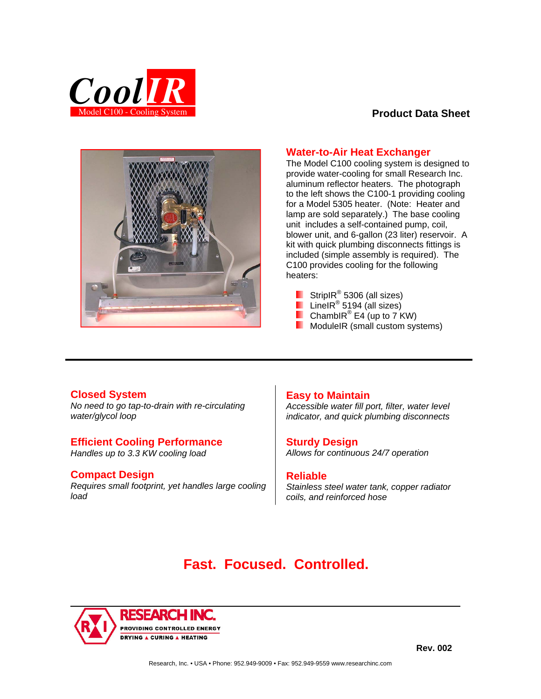

# **Product Data Sheet**



# **Water-to-Air Heat Exchanger**

The Model C100 cooling system is designed to provide water-cooling for small Research Inc. aluminum reflector heaters. The photograph to the left shows the C100-1 providing cooling for a Model 5305 heater. (Note: Heater and lamp are sold separately.) The base cooling unit includes a self-contained pump, coil, blower unit, and 6-gallon (23 liter) reservoir. A kit with quick plumbing disconnects fittings is included (simple assembly is required). The C100 provides cooling for the following heaters:

- StripIR<sup>®</sup> 5306 (all sizes) LineIR<sup>®</sup> 5194 (all sizes)
- 
- Chambl $R^{\circledR}$  E4 (up to 7 KW)
- **ModuleIR** (small custom systems)

### **Closed System**

*No need to go tap-to-drain with re-circulating water/glycol loop* 

### **Efficient Cooling Performance**

*Handles up to 3.3 KW cooling load* 

### **Compact Design**

*Requires small footprint, yet handles large cooling load* 

### **Easy to Maintain**

*Accessible water fill port, filter, water level indicator, and quick plumbing disconnects* 

### **Sturdy Design**

*Allows for continuous 24/7 operation*

### **Reliable**

*Stainless steel water tank, copper radiator coils, and reinforced hose*

# **Fast. Focused. Controlled.**



**Rev. 002**